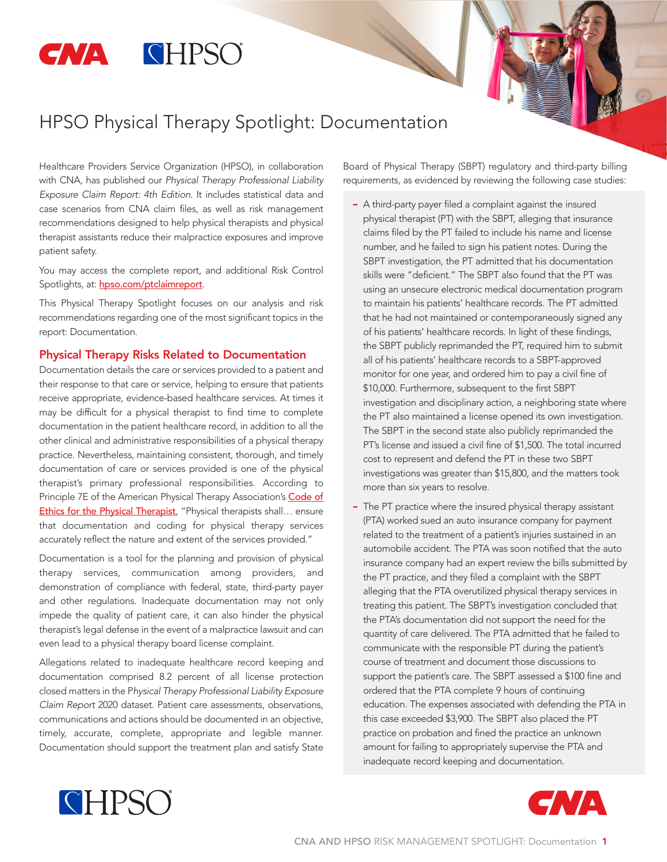# **CNA CHPSO**

# HPSO Physical Therapy Spotlight: Documentation

Healthcare Providers Service Organization (HPSO), in collaboration with CNA, has published our *Physical Therapy Professional Liability Exposure Claim Report: 4th Edition*. It includes statistical data and case scenarios from CNA claim files, as well as risk management recommendations designed to help physical therapists and physical therapist assistants reduce their malpractice exposures and improve patient safety.

You may access the complete report, and additional Risk Control Spotlights, at: [hpso.com/ptclaimreport](http://www.hpso.com/ptclaimreport).

This Physical Therapy Spotlight focuses on our analysis and risk recommendations regarding one of the most significant topics in the report: Documentation.

#### Physical Therapy Risks Related to Documentation

Documentation details the care or services provided to a patient and their response to that care or service, helping to ensure that patients receive appropriate, evidence-based healthcare services. At times it may be difficult for a physical therapist to find time to complete documentation in the patient healthcare record, in addition to all the other clinical and administrative responsibilities of a physical therapy practice. Nevertheless, maintaining consistent, thorough, and timely documentation of care or services provided is one of the physical therapist's primary professional responsibilities. According to Principle 7E of the American Physical Therapy Association's [Code of](http://www.apta.org/uploadedFiles/APTAorg/About_Us/Policies/Ethics/CodeofEthics.pdf) [Ethics for the Physical Therapist](http://www.apta.org/uploadedFiles/APTAorg/About_Us/Policies/Ethics/CodeofEthics.pdf), "Physical therapists shall... ensure that documentation and coding for physical therapy services accurately reflect the nature and extent of the services provided."

Documentation is a tool for the planning and provision of physical therapy services, communication among providers, and demonstration of compliance with federal, state, third-party payer and other regulations. Inadequate documentation may not only impede the quality of patient care, it can also hinder the physical therapist's legal defense in the event of a malpractice lawsuit and can even lead to a physical therapy board license complaint.

Allegations related to inadequate healthcare record keeping and documentation comprised 8.2 percent of all license protection closed matters in the P*hysical Therapy Professional Liability Exposure Claim Report* 2020 dataset. Patient care assessments, observations, communications and actions should be documented in an objective, timely, accurate, complete, appropriate and legible manner. Documentation should support the treatment plan and satisfy State

Board of Physical Therapy (SBPT) regulatory and third-party billing requirements, as evidenced by reviewing the following case studies:

- A third-party payer filed a complaint against the insured physical therapist (PT) with the SBPT, alleging that insurance claims filed by the PT failed to include his name and license number, and he failed to sign his patient notes. During the SBPT investigation, the PT admitted that his documentation skills were "deficient." The SBPT also found that the PT was using an unsecure electronic medical documentation program to maintain his patients' healthcare records. The PT admitted that he had not maintained or contemporaneously signed any of his patients' healthcare records. In light of these findings, the SBPT publicly reprimanded the PT, required him to submit all of his patients' healthcare records to a SBPT-approved monitor for one year, and ordered him to pay a civil fine of \$10,000. Furthermore, subsequent to the first SBPT investigation and disciplinary action, a neighboring state where the PT also maintained a license opened its own investigation. The SBPT in the second state also publicly reprimanded the PT's license and issued a civil fine of \$1,500. The total incurred cost to represent and defend the PT in these two SBPT investigations was greater than \$15,800, and the matters took more than six years to resolve.
- The PT practice where the insured physical therapy assistant (PTA) worked sued an auto insurance company for payment related to the treatment of a patient's injuries sustained in an automobile accident. The PTA was soon notified that the auto insurance company had an expert review the bills submitted by the PT practice, and they filed a complaint with the SBPT alleging that the PTA overutilized physical therapy services in treating this patient. The SBPT's investigation concluded that the PTA's documentation did not support the need for the quantity of care delivered. The PTA admitted that he failed to communicate with the responsible PT during the patient's course of treatment and document those discussions to support the patient's care. The SBPT assessed a \$100 fine and ordered that the PTA complete 9 hours of continuing education. The expenses associated with defending the PTA in this case exceeded \$3,900. The SBPT also placed the PT practice on probation and fined the practice an unknown amount for failing to appropriately supervise the PTA and inadequate record keeping and documentation.



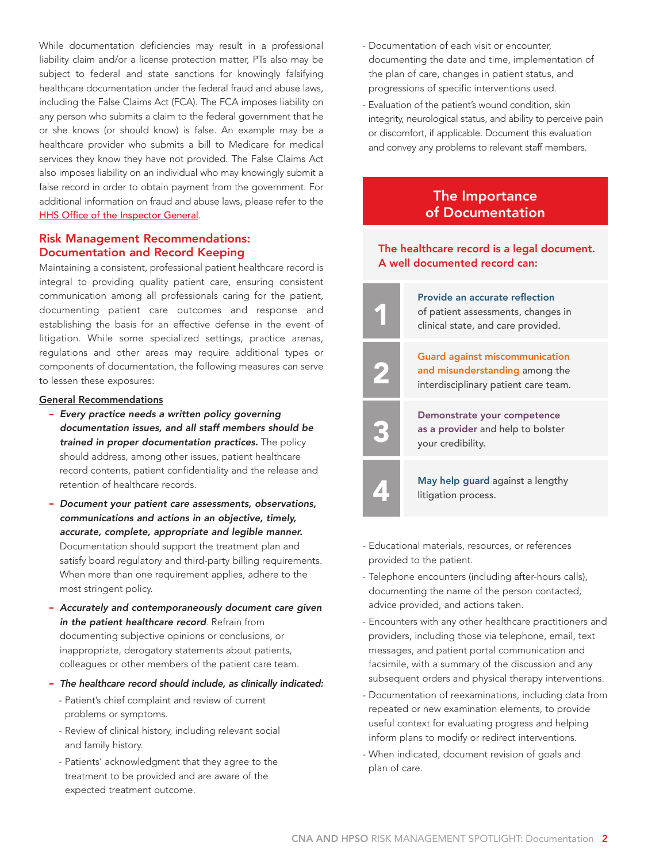While documentation deficiencies may result in a professional liability claim and/or a license protection matter, PTs also may be subject to federal and state sanctions for knowingly falsifying healthcare documentation under the federal fraud and abuse laws, including the False Claims Act (FCA). The FCA imposes liability on any person who submits a claim to the federal government that he or she knows (or should know) is false. An example may be a healthcare provider who submits a bill to Medicare for medical services they know they have not provided. The False Claims Act also imposes liability on an individual who may knowingly submit a false record in order to obtain payment from the government. For additional information on fraud and abuse laws, please refer to the [HHS Office of the Inspector General](https://oig.hhs.gov/compliance/physician-education/01laws.asp).

#### Risk Management Recommendations: Documentation and Record Keeping

Maintaining a consistent, professional patient healthcare record is integral to providing quality patient care, ensuring consistent communication among all professionals caring for the patient, documenting patient care outcomes and response and establishing the basis for an effective defense in the event of litigation. While some specialized settings, practice arenas, regulations and other areas may require additional types or components of documentation, the following measures can serve to lessen these exposures:

#### General Recommendations

- *Every practice needs a written policy governing documentation issues, and all staff members should be trained in proper documentation practices.* The policy should address, among other issues, patient healthcare record contents, patient confidentiality and the release and retention of healthcare records.
- *Document your patient care assessments, observations, communications and actions in an objective, timely, accurate, complete, appropriate and legible manner.*  Documentation should support the treatment plan and satisfy board regulatory and third-party billing requirements. When more than one requirement applies, adhere to the most stringent policy.
- *Accurately and contemporaneously document care given in the patient healthcare record*. Refrain from documenting subjective opinions or conclusions, or inappropriate, derogatory statements about patients, colleagues or other members of the patient care team.
- *The healthcare record should include, as clinically indicated:*
	- Patient's chief complaint and review of current problems or symptoms.
	- Review of clinical history, including relevant social and family history.
	- Patients' acknowledgment that they agree to the treatment to be provided and are aware of the expected treatment outcome.
- Documentation of each visit or encounter, documenting the date and time, implementation of the plan of care, changes in patient status, and progressions of specific interventions used.
- Evaluation of the patient's wound condition, skin integrity, neurological status, and ability to perceive pain or discomfort, if applicable. Document this evaluation and convey any problems to relevant staff members.

### The Importance of Documentation

#### The healthcare record is a legal document. A well documented record can:

Provide an accurate reflection

1

2

3

of patient assessments, changes in clinical state, and care provided.

Guard against miscommunication and misunderstanding among the interdisciplinary patient care team.

Demonstrate your competence as a provider and help to bolster your credibility.

**4 May help guard against a lengthy** litigation process.

- Educational materials, resources, or references provided to the patient.
- Telephone encounters (including after-hours calls), documenting the name of the person contacted, advice provided, and actions taken.
- Encounters with any other healthcare practitioners and providers, including those via telephone, email, text messages, and patient portal communication and facsimile, with a summary of the discussion and any subsequent orders and physical therapy interventions.
- Documentation of reexaminations, including data from repeated or new examination elements, to provide useful context for evaluating progress and helping inform plans to modify or redirect interventions.
- When indicated, document revision of goals and plan of care.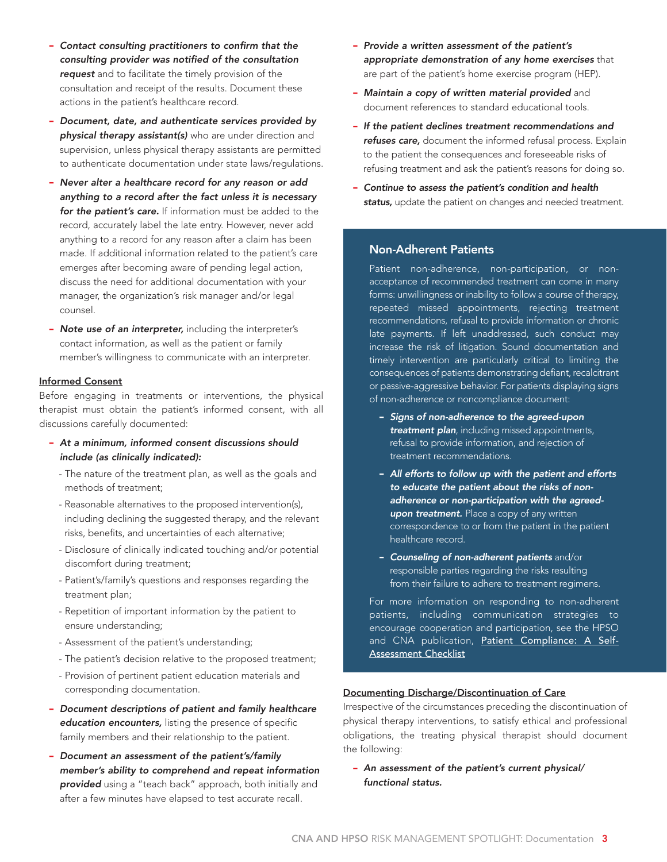- *Contact consulting practitioners to confirm that the consulting provider was notified of the consultation request* and to facilitate the timely provision of the consultation and receipt of the results. Document these actions in the patient's healthcare record.
- *Document, date, and authenticate services provided by physical therapy assistant(s)* who are under direction and supervision, unless physical therapy assistants are permitted to authenticate documentation under state laws/regulations.
- *Never alter a healthcare record for any reason or add anything to a record after the fact unless it is necessary for the patient's care.* If information must be added to the record, accurately label the late entry. However, never add anything to a record for any reason after a claim has been made. If additional information related to the patient's care emerges after becoming aware of pending legal action, discuss the need for additional documentation with your manager, the organization's risk manager and/or legal counsel.
- *Note use of an interpreter,* including the interpreter's contact information, as well as the patient or family member's willingness to communicate with an interpreter.

#### Informed Consent

Before engaging in treatments or interventions, the physical therapist must obtain the patient's informed consent, with all discussions carefully documented:

- *At a minimum, informed consent discussions should include (as clinically indicated):*
	- The nature of the treatment plan, as well as the goals and methods of treatment;
	- Reasonable alternatives to the proposed intervention(s), including declining the suggested therapy, and the relevant risks, benefits, and uncertainties of each alternative;
	- Disclosure of clinically indicated touching and/or potential discomfort during treatment;
	- Patient's/family's questions and responses regarding the treatment plan;
	- Repetition of important information by the patient to ensure understanding;
	- Assessment of the patient's understanding;
	- The patient's decision relative to the proposed treatment;
	- Provision of pertinent patient education materials and corresponding documentation.
- *Document descriptions of patient and family healthcare education encounters,* listing the presence of specific family members and their relationship to the patient.
- *Document an assessment of the patient's/family member's ability to comprehend and repeat information provided* using a "teach back" approach, both initially and after a few minutes have elapsed to test accurate recall.
- *Provide a written assessment of the patient's appropriate demonstration of any home exercises* that are part of the patient's home exercise program (HEP).
- *Maintain a copy of written material provided* and document references to standard educational tools.
- *If the patient declines treatment recommendations and refuses care,* document the informed refusal process. Explain to the patient the consequences and foreseeable risks of refusing treatment and ask the patient's reasons for doing so.
- *Continue to assess the patient's condition and health status,* update the patient on changes and needed treatment.

#### Non-Adherent Patients

Patient non-adherence, non-participation, or nonacceptance of recommended treatment can come in many forms: unwillingness or inability to follow a course of therapy, repeated missed appointments, rejecting treatment recommendations, refusal to provide information or chronic late payments. If left unaddressed, such conduct may increase the risk of litigation. Sound documentation and timely intervention are particularly critical to limiting the consequences of patients demonstrating defiant, recalcitrant or passive-aggressive behavior. For patients displaying signs of non-adherence or noncompliance document:

- *Signs of non-adherence to the agreed-upon treatment plan*, including missed appointments, refusal to provide information, and rejection of treatment recommendations.
- *All efforts to follow up with the patient and efforts to educate the patient about the risks of nonadherence or non-participation with the agreedupon treatment.* Place a copy of any written correspondence to or from the patient in the patient healthcare record.
- *Counseling of non-adherent patients* and/or responsible parties regarding the risks resulting from their failure to adhere to treatment regimens.

For more information on responding to non-adherent patients, including communication strategies to encourage cooperation and participation, see the HPSO and CNA publication, [Patient Compliance: A Self-](https://www.hpso.com/Documents/Risk%20Education/Businesses/CNA_HP15-7_SelfAssess_Checklist.pdf)[Assessment Checklist](https://www.hpso.com/Documents/Risk%20Education/Businesses/CNA_HP15-7_SelfAssess_Checklist.pdf)

#### Documenting Discharge/Discontinuation of Care

Irrespective of the circumstances preceding the discontinuation of physical therapy interventions, to satisfy ethical and professional obligations, the treating physical therapist should document the following:

- *An assessment of the patient's current physical/ functional status.*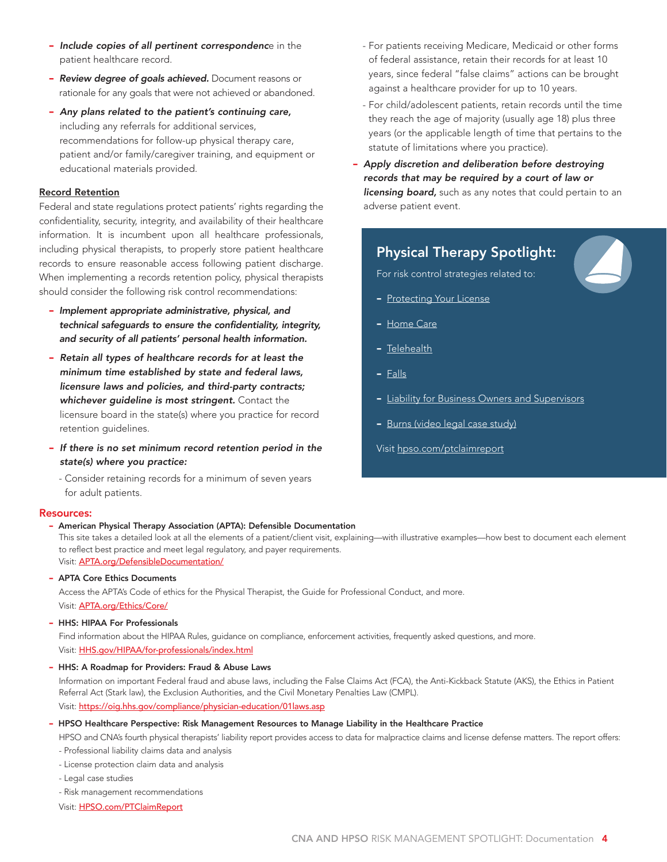- *Include copies of all pertinent correspondenc*e in the patient healthcare record.
- *Review degree of goals achieved.* Document reasons or rationale for any goals that were not achieved or abandoned.
- *Any plans related to the patient's continuing care,* including any referrals for additional services, recommendations for follow-up physical therapy care, patient and/or family/caregiver training, and equipment or educational materials provided.

#### Record Retention

Federal and state regulations protect patients' rights regarding the confidentiality, security, integrity, and availability of their healthcare information. It is incumbent upon all healthcare professionals, including physical therapists, to properly store patient healthcare records to ensure reasonable access following patient discharge. When implementing a records retention policy, physical therapists should consider the following risk control recommendations:

- *Implement appropriate administrative, physical, and technical safeguards to ensure the confidentiality, integrity, and security of all patients' personal health information.*
- *Retain all types of healthcare records for at least the minimum time established by state and federal laws, licensure laws and policies, and third-party contracts; whichever guideline is most stringent.* Contact the licensure board in the state(s) where you practice for record retention guidelines.
- *If there is no set minimum record retention period in the state(s) where you practice:*

- Consider retaining records for a minimum of seven years for adult patients.

#### Resources:

- American Physical Therapy Association (APTA): Defensible Documentation

[This site takes a detailed look at all the elements of a patient/client visit, explaining—with illustrative examples—how best to document each element](v)  to reflect best practice and meet legal regulatory, and payer requirements. Visit: APTA.org/DefensibleDocumentation/

- APTA Core Ethics Documents

Access the APTA's Code of ethics for the Physical Therapist, the Guide for Professional Conduct, and more. Visit: [APTA.org/Ethics/Core/](http://www.apta.org/Ethics/Core/)

#### - HHS: HIPAA For Professionals

Find information about the HIPAA Rules, guidance on compliance, enforcement activities, frequently asked questions, and more. Visit: [HHS.gov/HIPAA/for-professionals/index.html](http://www.hhs.gov/hipaa/for-professionals/index.html)

- HHS: A Roadmap for Providers: Fraud & Abuse Laws

Information on important Federal fraud and abuse laws, including the False Claims Act (FCA), the Anti-Kickback Statute (AKS), the Ethics in Patient Referral Act (Stark law), the Exclusion Authorities, and the Civil Monetary Penalties Law (CMPL). Visit: <https://oig.hhs.gov/compliance/physician-education/01laws.asp>

- HPSO Healthcare Perspective: Risk Management Resources to Manage Liability in the Healthcare Practice

HPSO and CNA's fourth physical therapists' liability report provides access to data for malpractice claims and license defense matters. The report offers:

- Professional liability claims data and analysis

- License protection claim data and analysis
- Legal case studies
- Risk management recommendations

Visit: [HPSO.com/PTClaimReport](http://www.hpso.com/PTClaimReport)

- For patients receiving Medicare, Medicaid or other forms of federal assistance, retain their records for at least 10 years, since federal "false claims" actions can be brought against a healthcare provider for up to 10 years.
- For child/adolescent patients, retain records until the time they reach the age of majority (usually age 18) plus three years (or the applicable length of time that pertains to the statute of limitations where you practice).
- *Apply discretion and deliberation before destroying records that may be required by a court of law or licensing board,* such as any notes that could pertain to an adverse patient event.

## Physical Therapy Spotlight:

For risk control strategies related to:

- Protecting [Your License](http://www.hpso.com/ptclaimreport_defendlicense)
- [Home Care](http://www.hpso.com/ptclaimreport_homecare)
- [Telehealth](http://www.hpso.com/ptclaimreport_telehealth)
- [Falls](http://www.hpso.com/ptclaimreport_falls)
- [Liability for Business Owners and Supervisors](http://www.hpso.com/ptclaimreport_supervisors)
- [Burns \(video legal case study\)](http://www.hpso.com/ptclaimreport_burns)
- Visit [hpso.com/ptclaimreport](http://www.hpso.com/risk-education/individuals/Physical-Therapist-Claim-Reports)